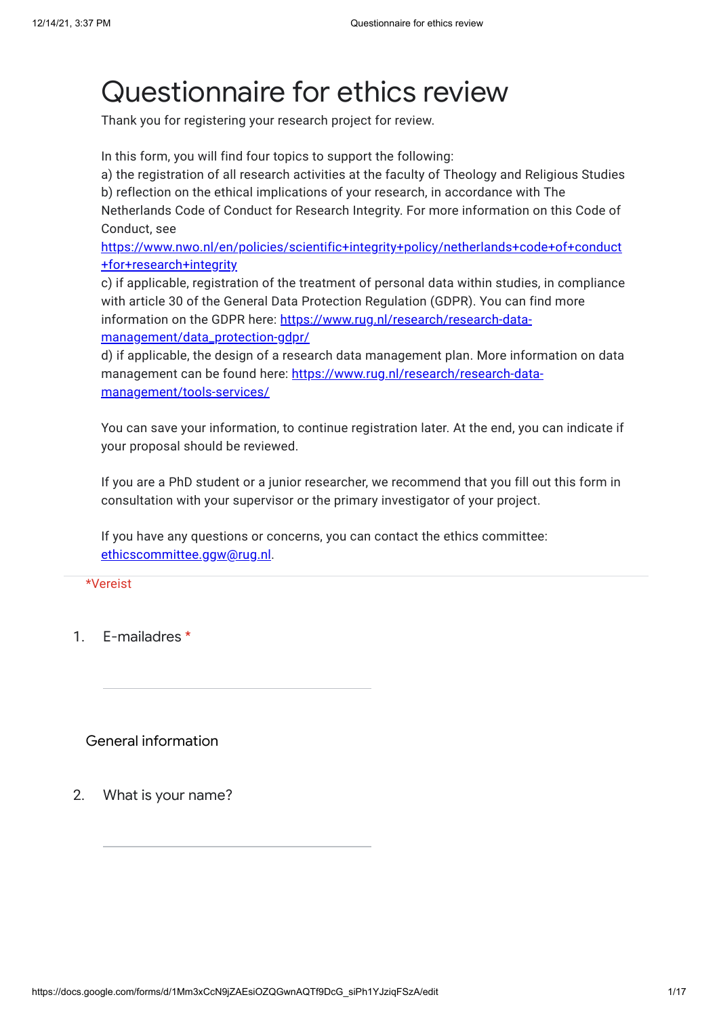# Questionnaire for ethics review

Thank you for registering your research project for review.

In this form, you will find four topics to support the following:

a) the registration of all research activities at the faculty of Theology and Religious Studies

b) reflection on the ethical implications of your research, in accordance with The

Netherlands Code of Conduct for Research Integrity. For more information on this Code of Conduct, see

[https://www.nwo.nl/en/policies/scientific+integrity+policy/netherlands+code+of+conduct](https://www.google.com/url?q=https://www.nwo.nl/en/policies/scientific%2Bintegrity%2Bpolicy/netherlands%2Bcode%2Bof%2Bconduct%2Bfor%2Bresearch%2Bintegrity&sa=D&source=editors&ust=1639496228603000&usg=AOvVaw0zwhWZDqMkf-ie4_y_YNY8) +for+research+integrity

c) if applicable, registration of the treatment of personal data within studies, in compliance with article 30 of the General Data Protection Regulation (GDPR). You can find more information on the GDPR here: [https://www.rug.nl/research/research-data](https://www.google.com/url?q=https://www.rug.nl/research/research-data-management/data_protection-gdpr/&sa=D&source=editors&ust=1639496228603000&usg=AOvVaw3_saa2lkUa1O8NR0fpuCBA)management/data\_protection-gdpr/

d) if applicable, the design of a research data management plan. More information on data management can be found here: [https://www.rug.nl/research/research-data](https://www.google.com/url?q=https://www.rug.nl/research/research-data-management/tools-services/&sa=D&source=editors&ust=1639496228603000&usg=AOvVaw3svY2J62pV76QobuIWQ7FX)management/tools-services/

You can save your information, to continue registration later. At the end, you can indicate if your proposal should be reviewed.

If you are a PhD student or a junior researcher, we recommend that you fill out this form in consultation with your supervisor or the primary investigator of your project.

If you have any questions or concerns, you can contact the ethics committee: [ethicscommittee.ggw@rug.nl.](mailto:ethicscommittee.ggw@rug.nl)

\*Vereist

1. E-mailadres \*

General information

2. What is your name?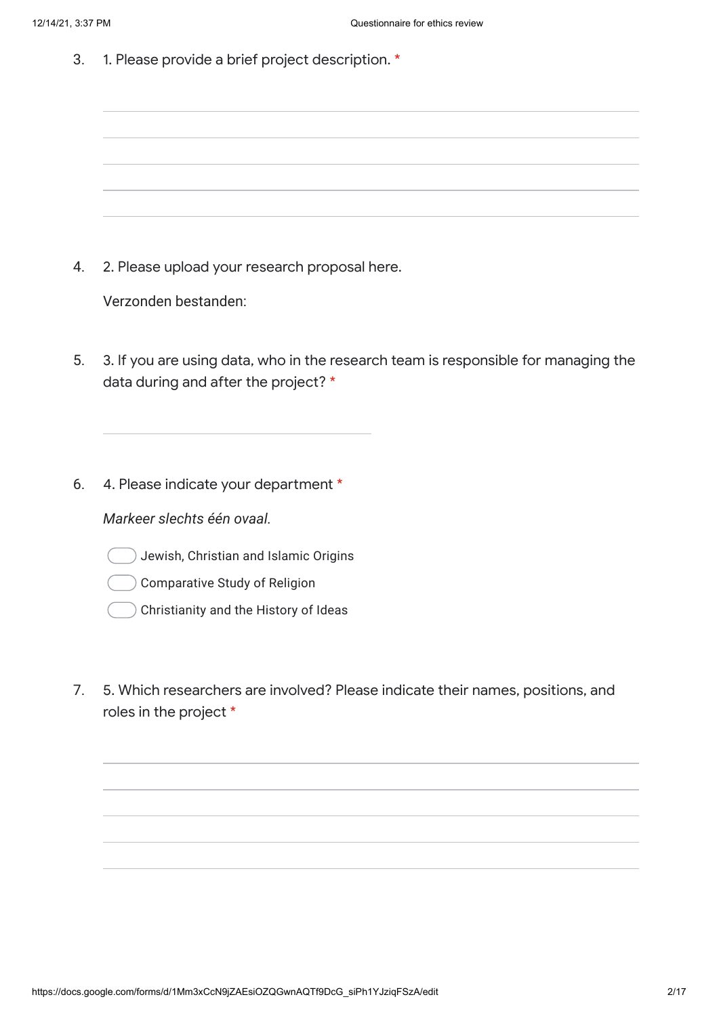3. 1. Please provide a brief project description. \*

4. 2. Please upload your research proposal here.

Verzonden bestanden:

- 5. 3. If you are using data, who in the research team is responsible for managing the data during and after the project? \*
- 6. 4. Please indicate your department \*

*Markeer slechts één ovaal.*

- Jewish, Christian and Islamic Origins
- Comparative Study of Religion
- Christianity and the History of Ideas
- 7. 5. Which researchers are involved? Please indicate their names, positions, and roles in the project \*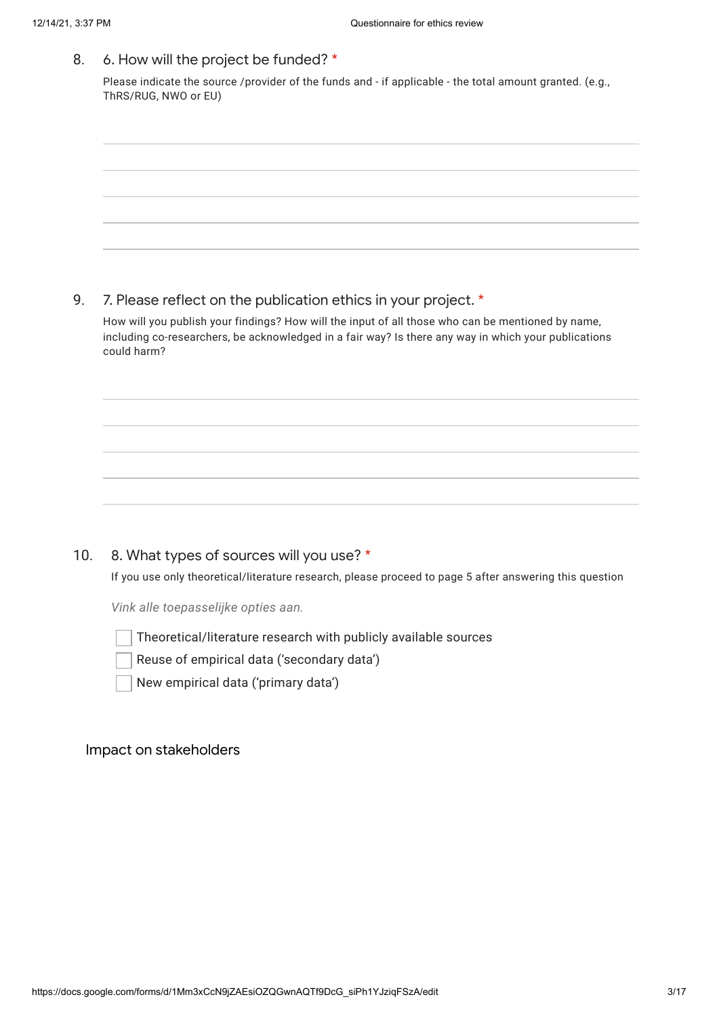| 8.  | 6. How will the project be funded? *                                                                                                                                                                                     |
|-----|--------------------------------------------------------------------------------------------------------------------------------------------------------------------------------------------------------------------------|
|     | Please indicate the source /provider of the funds and - if applicable - the total amount granted. (e.g.,<br>ThRS/RUG, NWO or EU)                                                                                         |
|     |                                                                                                                                                                                                                          |
|     |                                                                                                                                                                                                                          |
|     |                                                                                                                                                                                                                          |
|     |                                                                                                                                                                                                                          |
|     |                                                                                                                                                                                                                          |
|     |                                                                                                                                                                                                                          |
| 9.  | 7. Please reflect on the publication ethics in your project. *                                                                                                                                                           |
|     | How will you publish your findings? How will the input of all those who can be mentioned by name,<br>including co-researchers, be acknowledged in a fair way? Is there any way in which your publications<br>could harm? |
|     |                                                                                                                                                                                                                          |
|     |                                                                                                                                                                                                                          |
|     |                                                                                                                                                                                                                          |
|     |                                                                                                                                                                                                                          |
|     |                                                                                                                                                                                                                          |
|     |                                                                                                                                                                                                                          |
| 10. | 8. What types of sources will you use? *                                                                                                                                                                                 |
|     | If you use only theoretical/literature research, please proceed to page 5 after answering this question                                                                                                                  |
|     | Vink alle toepasselijke opties aan.                                                                                                                                                                                      |
|     | Theoretical/literature research with publicly available sources<br>Reuse of empirical data ('secondary data')                                                                                                            |
|     | New empirical data ('primary data')                                                                                                                                                                                      |
|     |                                                                                                                                                                                                                          |
|     |                                                                                                                                                                                                                          |
|     | Impact on stakeholders                                                                                                                                                                                                   |
|     |                                                                                                                                                                                                                          |
|     |                                                                                                                                                                                                                          |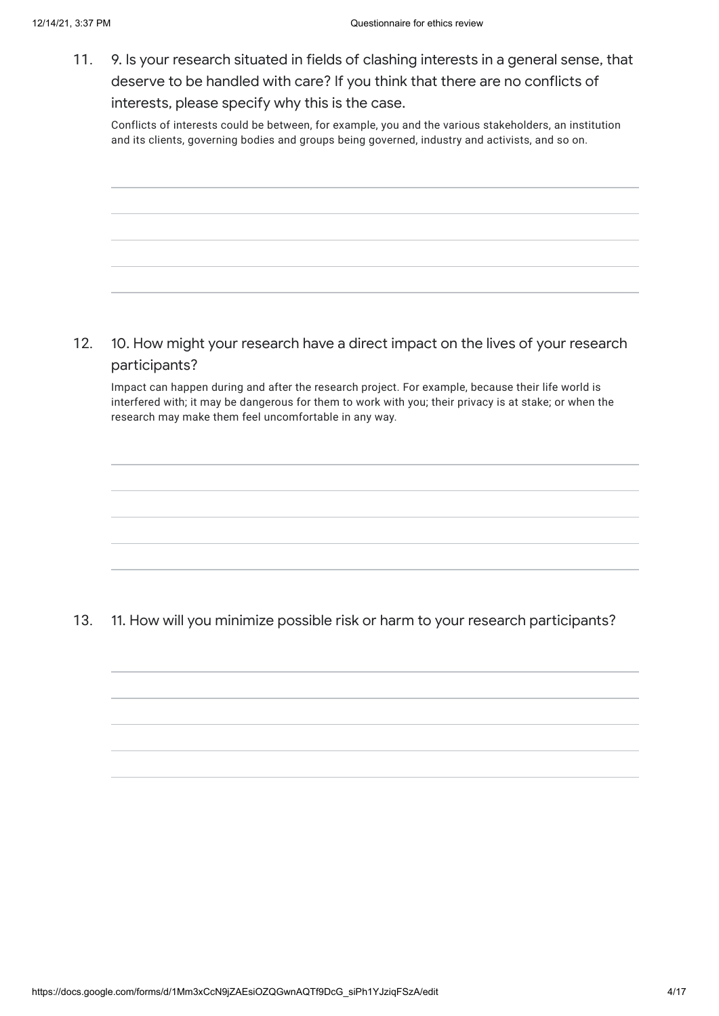11. 9. Is your research situated in fields of clashing interests in a general sense, that deserve to be handled with care? If you think that there are no conflicts of interests, please specify why this is the case.

Conflicts of interests could be between, for example, you and the various stakeholders, an institution and its clients, governing bodies and groups being governed, industry and activists, and so on.

12. 10. How might your research have a direct impact on the lives of your research participants?

Impact can happen during and after the research project. For example, because their life world is interfered with; it may be dangerous for them to work with you; their privacy is at stake; or when the research may make them feel uncomfortable in any way.

13. 11. How will you minimize possible risk or harm to your research participants?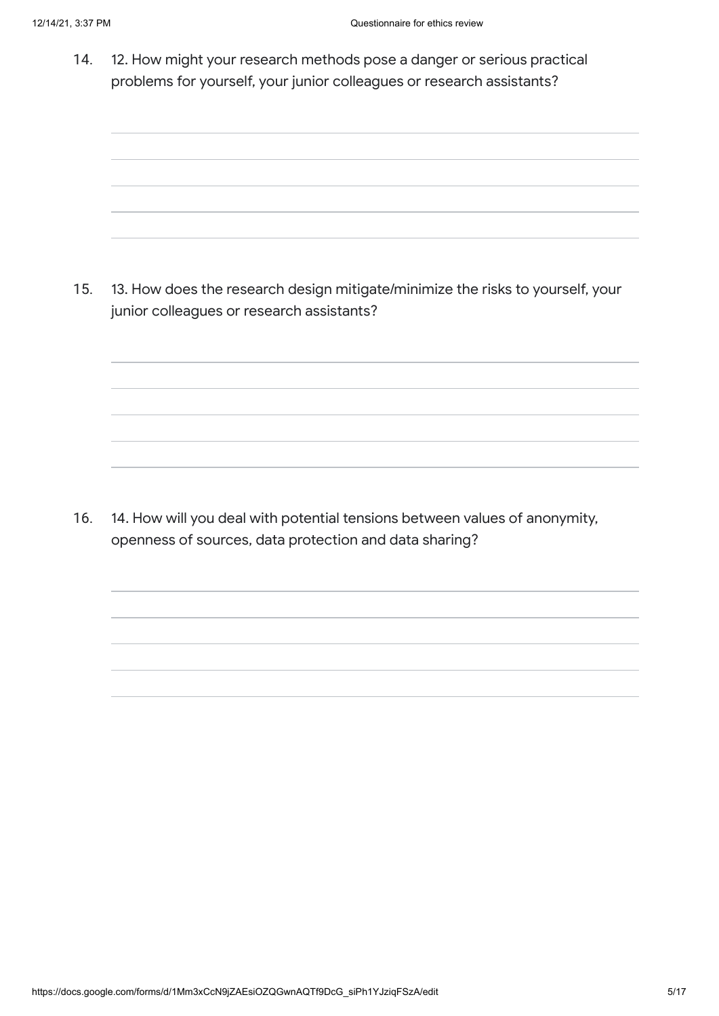14. 12. How might your research methods pose a danger or serious practical problems for yourself, your junior colleagues or research assistants?

15. 13. How does the research design mitigate/minimize the risks to yourself, your junior colleagues or research assistants?

16. 14. How will you deal with potential tensions between values of anonymity, openness of sources, data protection and data sharing?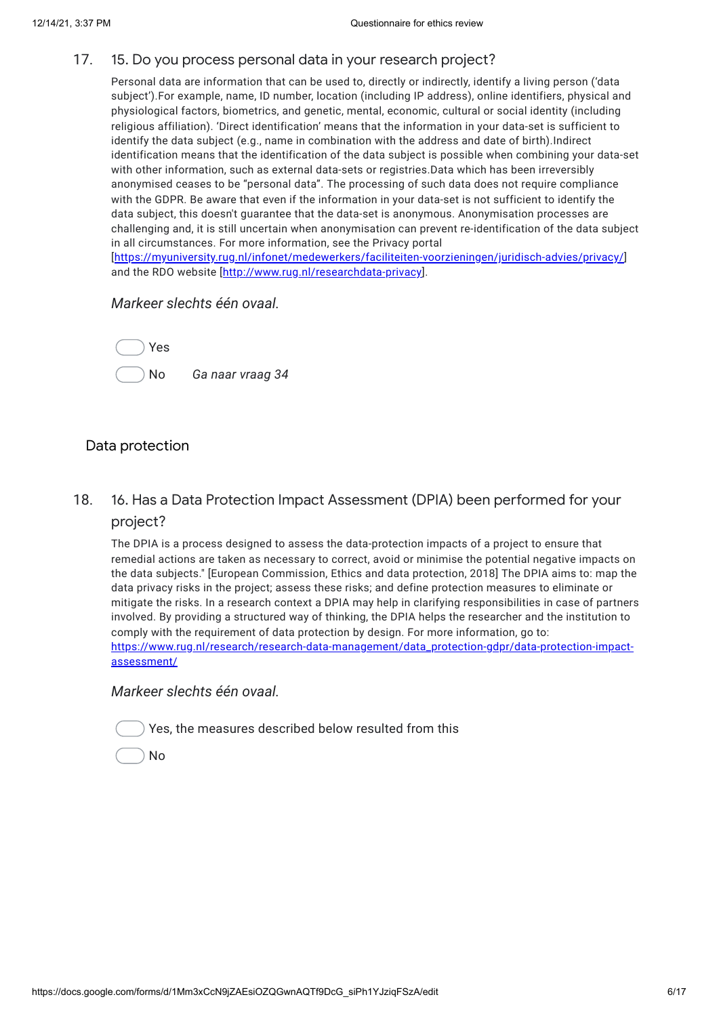#### 17. 15. Do you process personal data in your research project?

Personal data are information that can be used to, directly or indirectly, identify a living person ('data subject').For example, name, ID number, location (including IP address), online identifiers, physical and physiological factors, biometrics, and genetic, mental, economic, cultural or social identity (including religious affiliation). 'Direct identification' means that the information in your data-set is sufficient to identify the data subject (e.g., name in combination with the address and date of birth).Indirect identification means that the identification of the data subject is possible when combining your data-set with other information, such as external data-sets or registries.Data which has been irreversibly anonymised ceases to be "personal data". The processing of such data does not require compliance with the GDPR. Be aware that even if the information in your data-set is not sufficient to identify the data subject, this doesn't guarantee that the data-set is anonymous. Anonymisation processes are challenging and, it is still uncertain when anonymisation can prevent re-identification of the data subject in all circumstances. For more information, see the Privacy portal [[https://myuniversity.rug.nl/infonet/medewerkers/faciliteiten-voorzieningen/juridisch-advies/privacy/\]](https://www.google.com/url?q=https://myuniversity.rug.nl/infonet/medewerkers/faciliteiten-voorzieningen/juridisch-advies/privacy/&sa=D&source=editors&ust=1639496228611000&usg=AOvVaw0KOPSiFekT_Y9ZmSY8wrFK) and the RDO website [\[http://www.rug.nl/researchdata-privacy](https://www.google.com/url?q=http://www.rug.nl/researchdata-privacy&sa=D&source=editors&ust=1639496228611000&usg=AOvVaw0N_wci3F1zSlsv2jGpCaeN)].

### *Markeer slechts één ovaal.*



## Data protection

18. 16. Has a Data Protection Impact Assessment (DPIA) been performed for your project?

The DPIA is a process designed to assess the data-protection impacts of a project to ensure that remedial actions are taken as necessary to correct, avoid or minimise the potential negative impacts on the data subjects." [European Commission, Ethics and data protection, 2018] The DPIA aims to: map the data privacy risks in the project; assess these risks; and define protection measures to eliminate or mitigate the risks. In a research context a DPIA may help in clarifying responsibilities in case of partners involved. By providing a structured way of thinking, the DPIA helps the researcher and the institution to comply with the requirement of data protection by design. For more information, go to: [https://www.rug.nl/research/research-data-management/data\\_protection-gdpr/data-protection-impact](https://www.google.com/url?q=https://www.rug.nl/research/research-data-management/data_protection-gdpr/data-protection-impact-assessment/&sa=D&source=editors&ust=1639496228637000&usg=AOvVaw0JlksEL-4Ll02SXoVijl_v)assessment/

*Markeer slechts één ovaal.*

|  | Yes, the measures described below resulted from this |  |  |
|--|------------------------------------------------------|--|--|
|  |                                                      |  |  |

No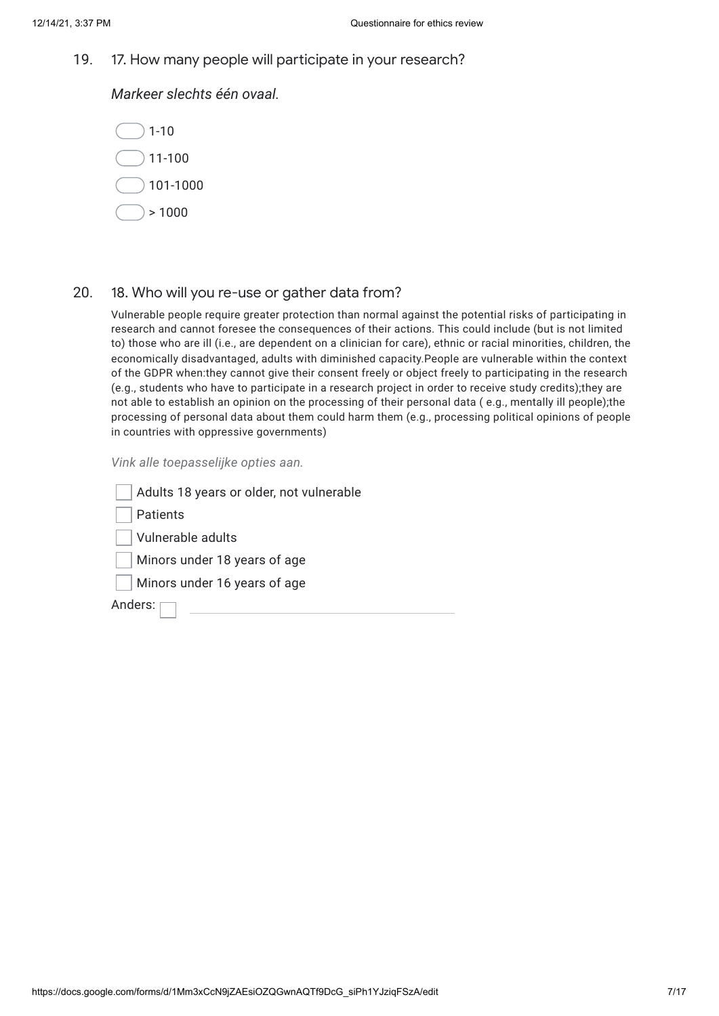19. 17. How many people will participate in your research?

*Markeer slechts één ovaal.*



### 20. 18. Who will you re-use or gather data from?

Vulnerable people require greater protection than normal against the potential risks of participating in research and cannot foresee the consequences of their actions. This could include (but is not limited to) those who are ill (i.e., are dependent on a clinician for care), ethnic or racial minorities, children, the economically disadvantaged, adults with diminished capacity.People are vulnerable within the context of the GDPR when:they cannot give their consent freely or object freely to participating in the research (e.g., students who have to participate in a research project in order to receive study credits);they are not able to establish an opinion on the processing of their personal data ( e.g., mentally ill people);the processing of personal data about them could harm them (e.g., processing political opinions of people in countries with oppressive governments)

*Vink alle toepasselijke opties aan.*

| Adults 18 years or older, not vulnerable |
|------------------------------------------|
| Patients                                 |
| Vulnerable adults                        |
| Minors under 18 years of age             |
| Minors under 16 years of age             |
| Anders:                                  |
|                                          |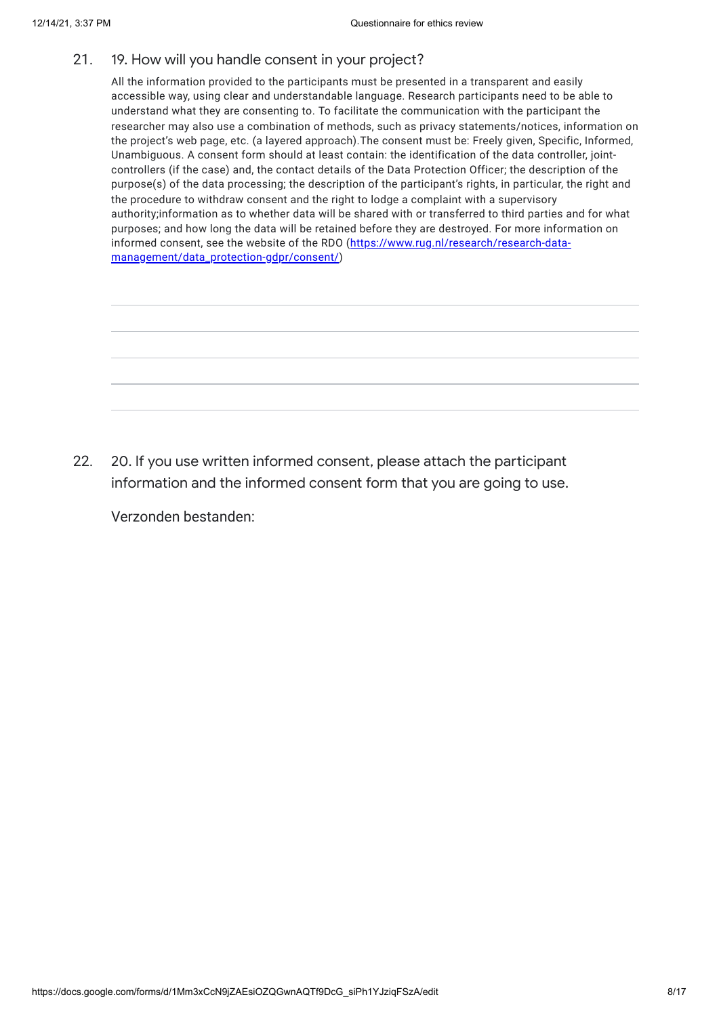#### 21. 19. How will you handle consent in your project?

All the information provided to the participants must be presented in a transparent and easily accessible way, using clear and understandable language. Research participants need to be able to understand what they are consenting to. To facilitate the communication with the participant the researcher may also use a combination of methods, such as privacy statements/notices, information on the project's web page, etc. (a layered approach).The consent must be: Freely given, Specific, Informed, Unambiguous. A consent form should at least contain: the identification of the data controller, jointcontrollers (if the case) and, the contact details of the Data Protection Officer; the description of the purpose(s) of the data processing; the description of the participant's rights, in particular, the right and the procedure to withdraw consent and the right to lodge a complaint with a supervisory authority;information as to whether data will be shared with or transferred to third parties and for what purposes; and how long the data will be retained before they are destroyed. For more information on informed consent, see the website of the RDO (https://www.rug.nl/research/research-data[management/data\\_protection-gdpr/consent/\)](https://www.google.com/url?q=https://www.rug.nl/research/research-data-management/data_protection-gdpr/consent/&sa=D&source=editors&ust=1639496228640000&usg=AOvVaw3_yKvHM76FL1KRmAnq-NVl)

22. 20. If you use written informed consent, please attach the participant information and the informed consent form that you are going to use.

Verzonden bestanden: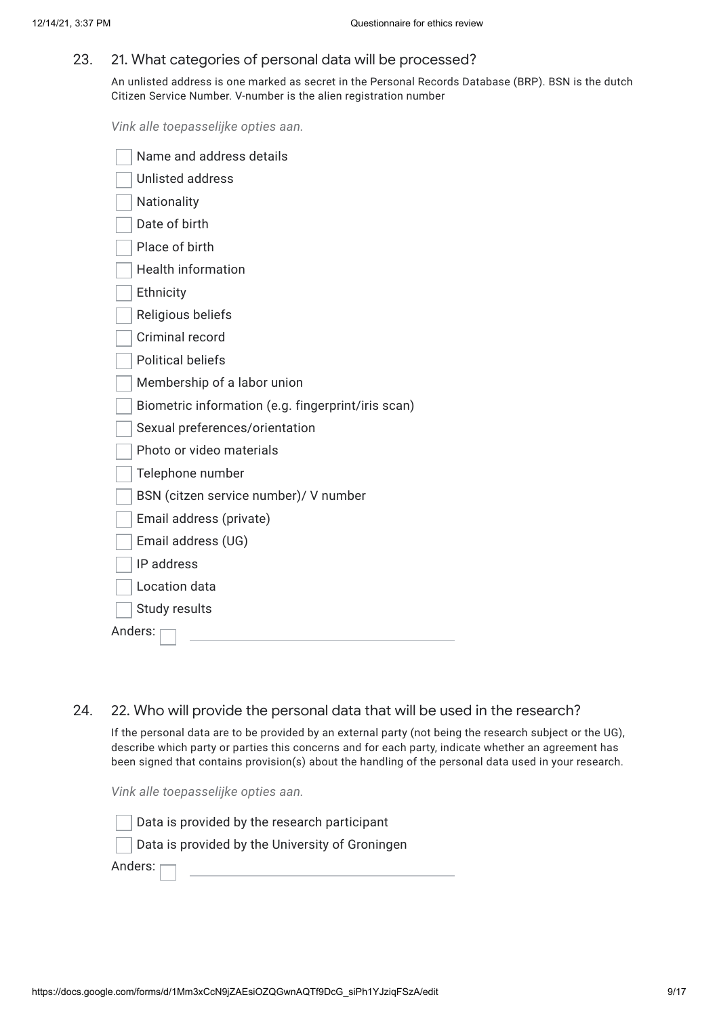#### 23. 21. What categories of personal data will be processed?

An unlisted address is one marked as secret in the Personal Records Database (BRP). BSN is the dutch Citizen Service Number. V-number is the alien registration number

*Vink alle toepasselijke opties aan.*

| Name and address details                           |
|----------------------------------------------------|
| <b>Unlisted address</b>                            |
| Nationality                                        |
| Date of birth                                      |
| Place of birth                                     |
| <b>Health information</b>                          |
| Ethnicity                                          |
| Religious beliefs                                  |
| Criminal record                                    |
| <b>Political beliefs</b>                           |
| Membership of a labor union                        |
| Biometric information (e.g. fingerprint/iris scan) |
| Sexual preferences/orientation                     |
| Photo or video materials                           |
| Telephone number                                   |
| BSN (citzen service number)/ V number              |
| Email address (private)                            |
| Email address (UG)                                 |
| IP address                                         |
| Location data                                      |
| Study results                                      |
| Anders:                                            |

### 24. 22. Who will provide the personal data that will be used in the research?

If the personal data are to be provided by an external party (not being the research subject or the UG), describe which party or parties this concerns and for each party, indicate whether an agreement has been signed that contains provision(s) about the handling of the personal data used in your research.

*Vink alle toepasselijke opties aan.*

Data is provided by the research participant

Data is provided by the University of Groningen

Anders: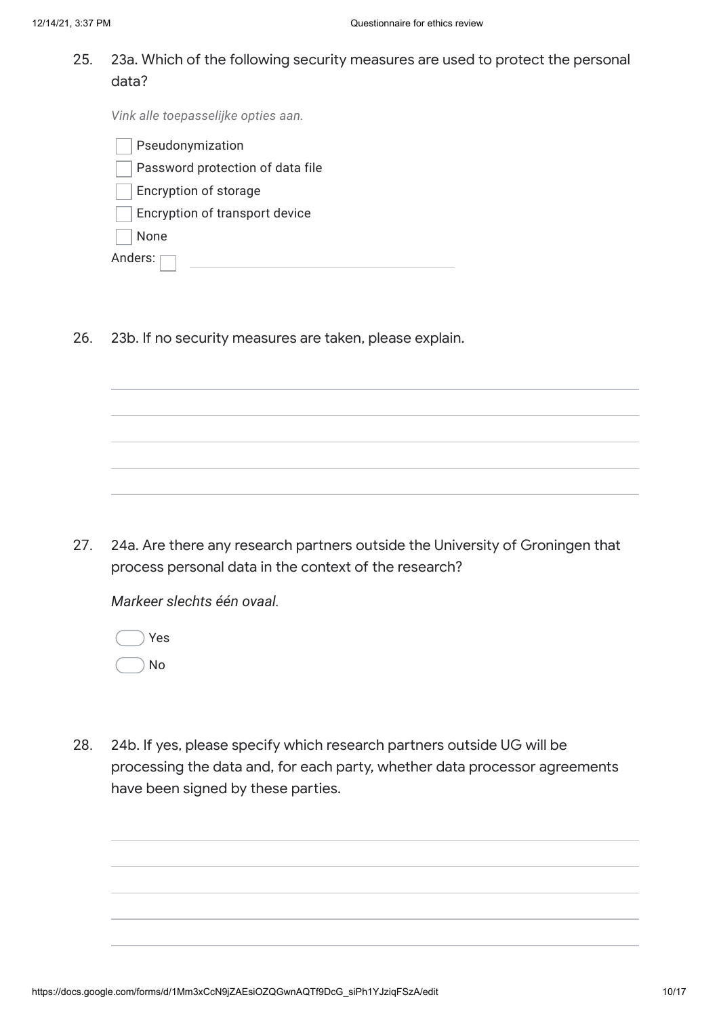25. 23a. Which of the following security measures are used to protect the personal data?

*Vink alle toepasselijke opties aan.*

| Pseudonymization                 |
|----------------------------------|
| Password protection of data file |
| Encryption of storage            |
| Encryption of transport device   |
| None                             |
| Anders:                          |

26. 23b. If no security measures are taken, please explain.

27. 24a. Are there any research partners outside the University of Groningen that process personal data in the context of the research?

*Markeer slechts één ovaal.*

Yes No

28. 24b. If yes, please specify which research partners outside UG will be processing the data and, for each party, whether data processor agreements have been signed by these parties.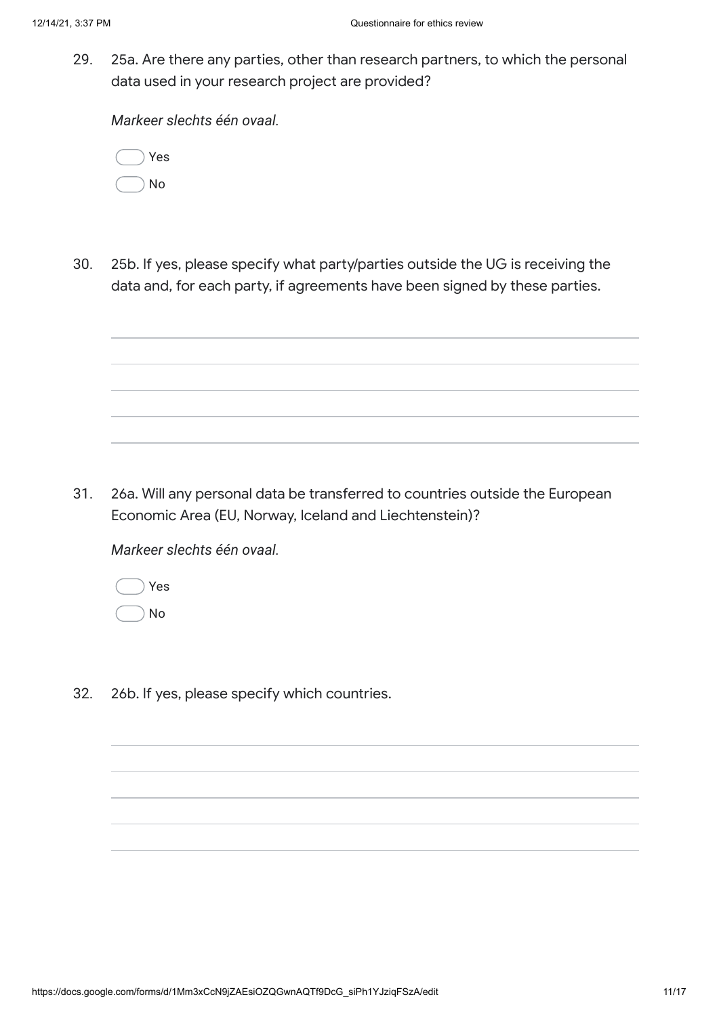29. 25a. Are there any parties, other than research partners, to which the personal data used in your research project are provided?

*Markeer slechts één ovaal.*

| Yes |  |
|-----|--|
| No  |  |

30. 25b. If yes, please specify what party/parties outside the UG is receiving the data and, for each party, if agreements have been signed by these parties.

31. 26a. Will any personal data be transferred to countries outside the European Economic Area (EU, Norway, Iceland and Liechtenstein)?

*Markeer slechts één ovaal.*

|  | Yes |
|--|-----|
|  | Nο  |

32. 26b. If yes, please specify which countries.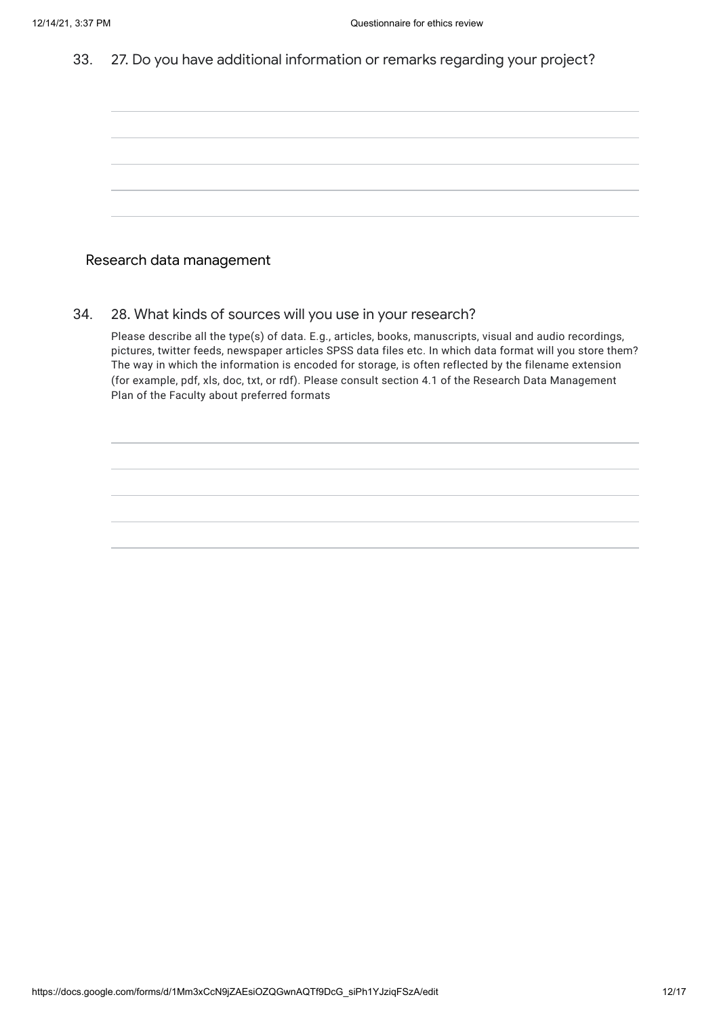33. 27. Do you have additional information or remarks regarding your project?

| the control of the control of the control of the control of the control of the control of the control of the control of the control of the control of the control of the control of the control of the control of the control |                                                                                                                                                                      | ,我们也不会有什么?""我们的人,我们也不会有什么?""我们的人,我们也不会有什么?""我们的人,我们也不会有什么?""我们的人,我们也不会有什么?""我们的人  |  | the control of the control of the               |
|-------------------------------------------------------------------------------------------------------------------------------------------------------------------------------------------------------------------------------|----------------------------------------------------------------------------------------------------------------------------------------------------------------------|-----------------------------------------------------------------------------------|--|-------------------------------------------------|
|                                                                                                                                                                                                                               |                                                                                                                                                                      |                                                                                   |  |                                                 |
|                                                                                                                                                                                                                               |                                                                                                                                                                      |                                                                                   |  |                                                 |
|                                                                                                                                                                                                                               |                                                                                                                                                                      |                                                                                   |  |                                                 |
|                                                                                                                                                                                                                               | ,一个人的人都是一个人的人,而且,他们的人都是一个人的人,而且,他们的人都是一个人的人,而且,他们的人都是一个人的人,而且,他们的人都是一个人的人,而且,他们的<br>第一百一十一章 一个人的人,他们的人都是一个人的人,他们的人都是一个人的人,他们的人都是一个人的人,他们的人都是一个人的人,他们的人都是一个人的人,他们的人都是 |                                                                                   |  |                                                 |
|                                                                                                                                                                                                                               |                                                                                                                                                                      |                                                                                   |  |                                                 |
|                                                                                                                                                                                                                               |                                                                                                                                                                      |                                                                                   |  |                                                 |
|                                                                                                                                                                                                                               |                                                                                                                                                                      |                                                                                   |  |                                                 |
|                                                                                                                                                                                                                               |                                                                                                                                                                      |                                                                                   |  |                                                 |
| the control of the control of the control of the control of the control of the control of the control of the control of the control of the control of the control of the control of the control of the control of the control |                                                                                                                                                                      |                                                                                   |  |                                                 |
|                                                                                                                                                                                                                               |                                                                                                                                                                      |                                                                                   |  |                                                 |
|                                                                                                                                                                                                                               |                                                                                                                                                                      |                                                                                   |  |                                                 |
|                                                                                                                                                                                                                               |                                                                                                                                                                      |                                                                                   |  |                                                 |
| the control of the control of the control of the control of the control of                                                                                                                                                    |                                                                                                                                                                      |                                                                                   |  |                                                 |
|                                                                                                                                                                                                                               |                                                                                                                                                                      |                                                                                   |  |                                                 |
|                                                                                                                                                                                                                               |                                                                                                                                                                      |                                                                                   |  |                                                 |
|                                                                                                                                                                                                                               |                                                                                                                                                                      |                                                                                   |  |                                                 |
| the control of the control of the control of the control of                                                                                                                                                                   |                                                                                                                                                                      | ,我们也不会有一个人的人,我们也不会有一个人的人,我们也不会有一个人的人,我们也不会有一个人的人,我们也不会有一个人的人,我们也不会有一个人的人,我们也不会有一个 |  | the contract of the contract of the contract of |
|                                                                                                                                                                                                                               |                                                                                                                                                                      |                                                                                   |  |                                                 |
|                                                                                                                                                                                                                               |                                                                                                                                                                      |                                                                                   |  |                                                 |

### Research data management

34. 28. What kinds of sources will you use in your research?

Please describe all the type(s) of data. E.g., articles, books, manuscripts, visual and audio recordings, pictures, twitter feeds, newspaper articles SPSS data files etc. In which data format will you store them? The way in which the information is encoded for storage, is often reflected by the filename extension (for example, pdf, xls, doc, txt, or rdf). Please consult section 4.1 of the Research Data Management Plan of the Faculty about preferred formats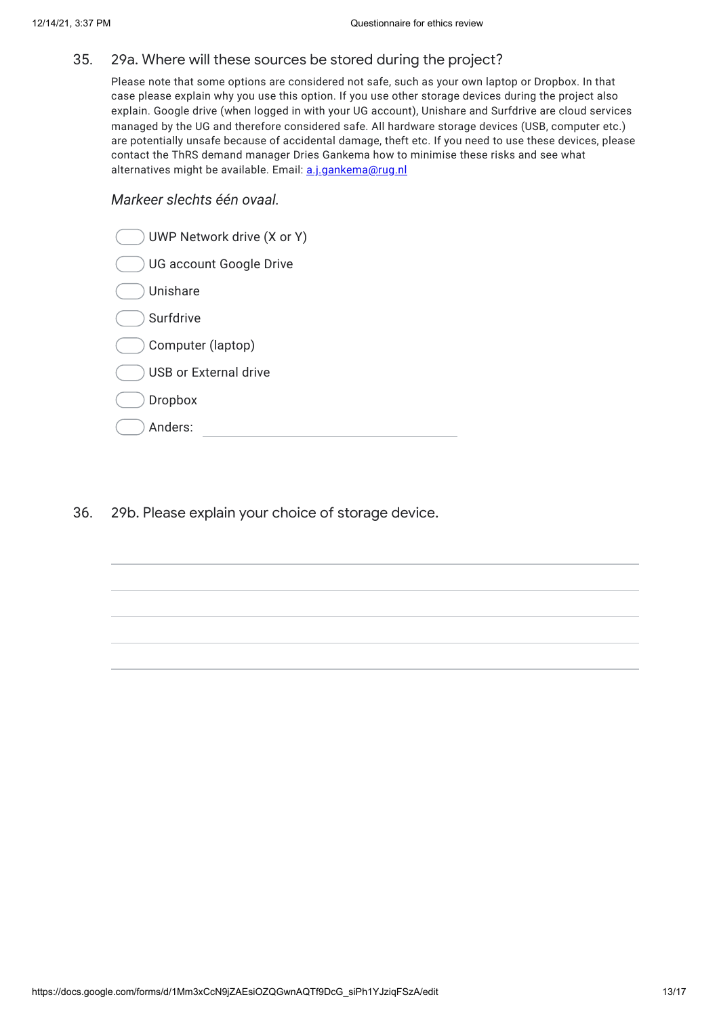#### 35. 29a. Where will these sources be stored during the project?

Please note that some options are considered not safe, such as your own laptop or Dropbox. In that case please explain why you use this option. If you use other storage devices during the project also explain. Google drive (when logged in with your UG account), Unishare and Surfdrive are cloud services managed by the UG and therefore considered safe. All hardware storage devices (USB, computer etc.) are potentially unsafe because of accidental damage, theft etc. If you need to use these devices, please contact the ThRS demand manager Dries Gankema how to minimise these risks and see what alternatives might be available. Email: [a.j.gankema@rug.nl](mailto:a.j.gankema@rug.nl)

### *Markeer slechts één ovaal.*

| UWP Network drive (X or Y)   |
|------------------------------|
| UG account Google Drive      |
| Unishare                     |
| Surfdrive                    |
| Computer (laptop)            |
| <b>USB or External drive</b> |
| <b>Dropbox</b>               |
| Anders:                      |
|                              |

36. 29b. Please explain your choice of storage device.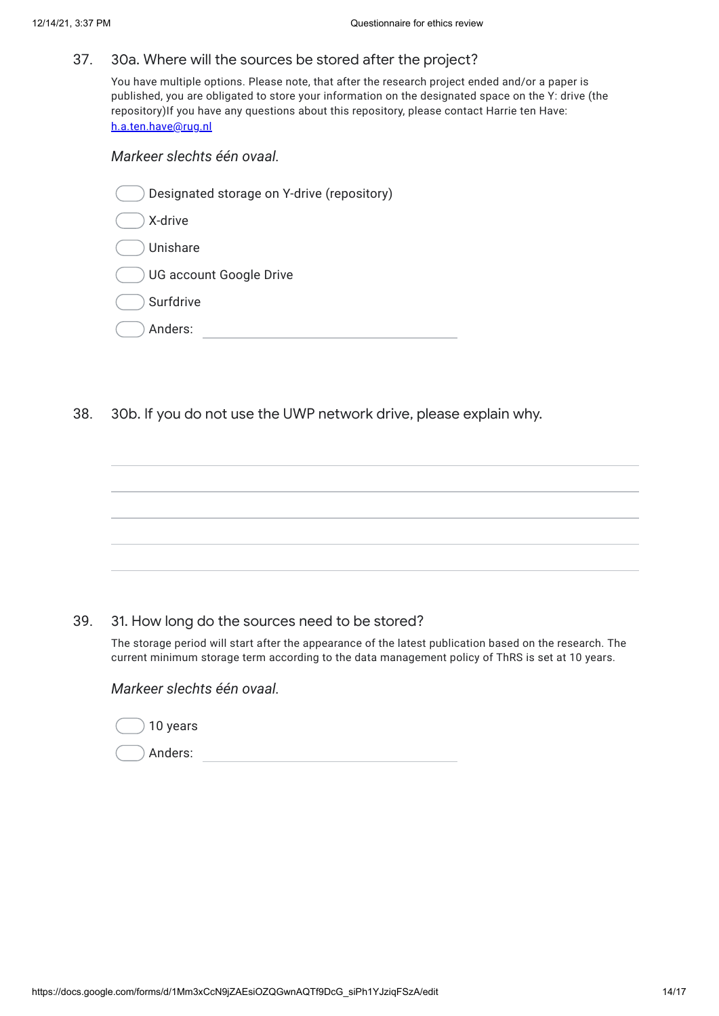#### 37. 30a. Where will the sources be stored after the project?

You have multiple options. Please note, that after the research project ended and/or a paper is published, you are obligated to store your information on the designated space on the Y: drive (the repository)If you have any questions about this repository, please contact Harrie ten Have: [h.a.ten.have@rug.nl](mailto:h.a.ten.have@rug.nl)

### *Markeer slechts één ovaal.*

38. 30b. If you do not use the UWP network drive, please explain why.

39. 31. How long do the sources need to be stored?

The storage period will start after the appearance of the latest publication based on the research. The current minimum storage term according to the data management policy of ThRS is set at 10 years.

### *Markeer slechts één ovaal.*

| 10 years |  |
|----------|--|
| Anders:  |  |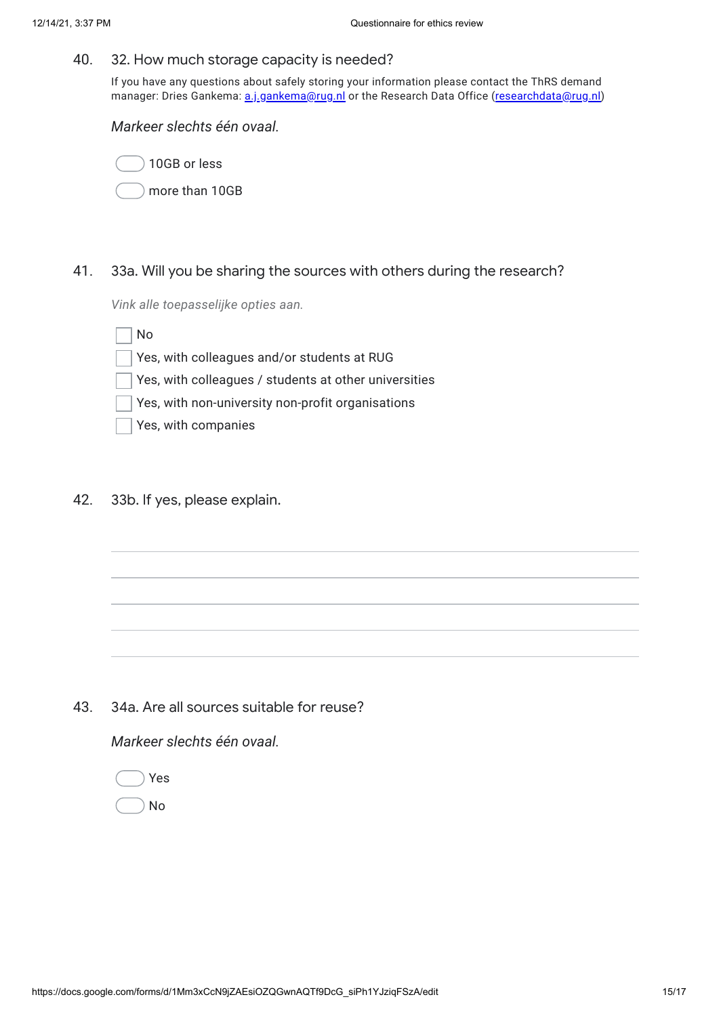#### 40. 32. How much storage capacity is needed?

If you have any questions about safely storing your information please contact the ThRS demand manager: Dries Gankema: [a.j.gankema@rug.nl](mailto:a.j.gankema@rug.nl) or the Research Data Office [\(researchdata@rug.nl\)](mailto:researchdata@rug.nl)

*Markeer slechts één ovaal.*

10GB or less more than 10GB

41. 33a. Will you be sharing the sources with others during the research?

*Vink alle toepasselijke opties aan.*

No

- Yes, with colleagues and/or students at RUG
- Yes, with colleagues / students at other universities
- Yes, with non-university non-profit organisations
- Yes, with companies
- 42. 33b. If yes, please explain.

43. 34a. Are all sources suitable for reuse?

*Markeer slechts één ovaal.*

Yes No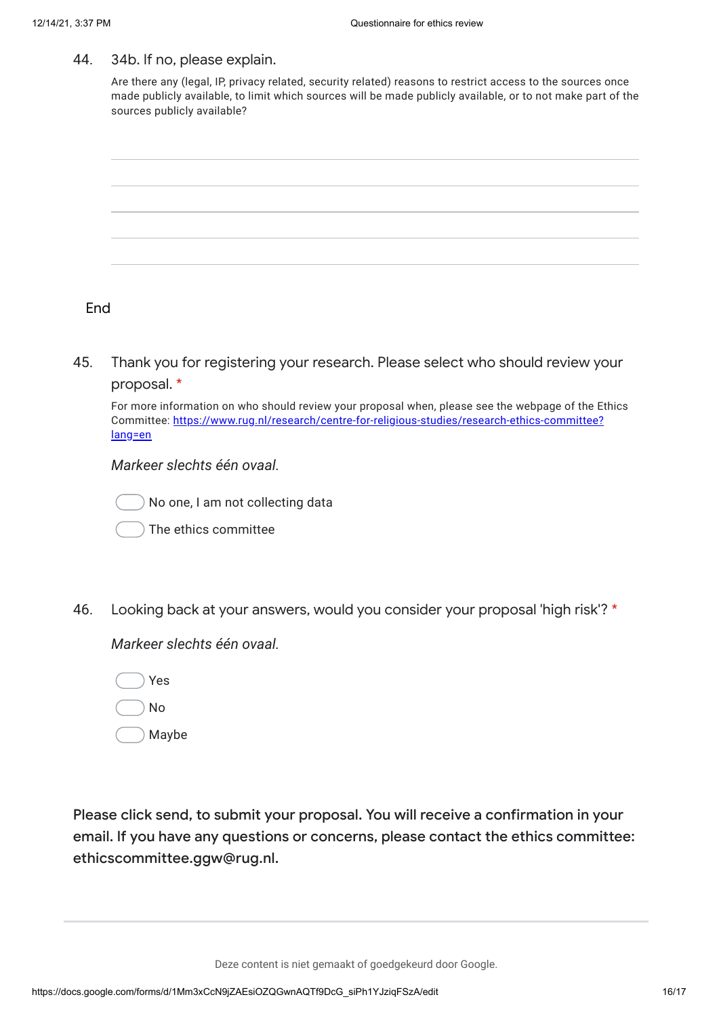#### 44. 34b. If no, please explain.

Are there any (legal, IP, privacy related, security related) reasons to restrict access to the sources once made publicly available, to limit which sources will be made publicly available, or to not make part of the sources publicly available?



### End

45. Thank you for registering your research. Please select who should review your proposal. \*

For more information on who should review your proposal when, please see the webpage of the Ethics Committee: [https://www.rug.nl/research/centre-for-religious-studies/research-ethics-committee?](https://www.google.com/url?q=https://www.rug.nl/research/centre-for-religious-studies/research-ethics-committee?lang%3Den&sa=D&source=editors&ust=1639496228653000&usg=AOvVaw1-rZZJqk66cyLq99K6DHvg) lang=en

*Markeer slechts één ovaal.*



No one, I am not collecting data

The ethics committee

46. Looking back at your answers, would you consider your proposal 'high risk'? \*

*Markeer slechts één ovaal.*

Yes

No

Maybe

Please click send, to submit your proposal. You will receive a confirmation in your email. If you have any questions or concerns, please contact the ethics committee: ethicscommittee.ggw@rug.nl.

Deze content is niet gemaakt of goedgekeurd door Google.